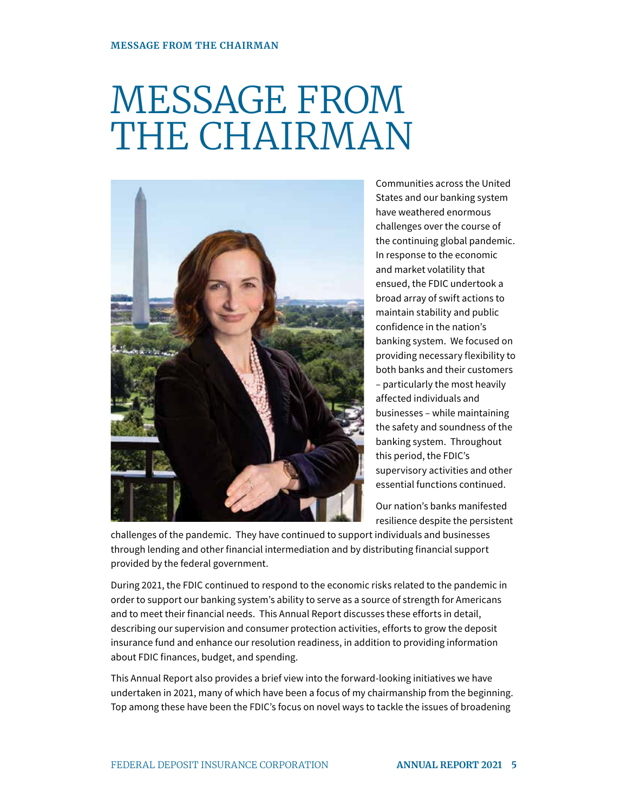# MESSAGE FROM THE CHAIRMAN



Communities across the United States and our banking system have weathered enormous challenges over the course of the continuing global pandemic. In response to the economic and market volatility that ensued, the FDIC undertook a broad array of swift actions to maintain stability and public confidence in the nation's banking system. We focused on providing necessary flexibility to both banks and their customers – particularly the most heavily affected individuals and businesses – while maintaining the safety and soundness of the banking system. Throughout this period, the FDIC's supervisory activities and other essential functions continued.

Our nation's banks manifested resilience despite the persistent

challenges of the pandemic. They have continued to support individuals and businesses through lending and other financial intermediation and by distributing financial support provided by the federal government.

During 2021, the FDIC continued to respond to the economic risks related to the pandemic in order to support our banking system's ability to serve as a source of strength for Americans and to meet their financial needs. This Annual Report discusses these efforts in detail, describing our supervision and consumer protection activities, efforts to grow the deposit insurance fund and enhance our resolution readiness, in addition to providing information about FDIC finances, budget, and spending.

This Annual Report also provides a brief view into the forward-looking initiatives we have undertaken in 2021, many of which have been a focus of my chairmanship from the beginning. Top among these have been the FDIC's focus on novel ways to tackle the issues of broadening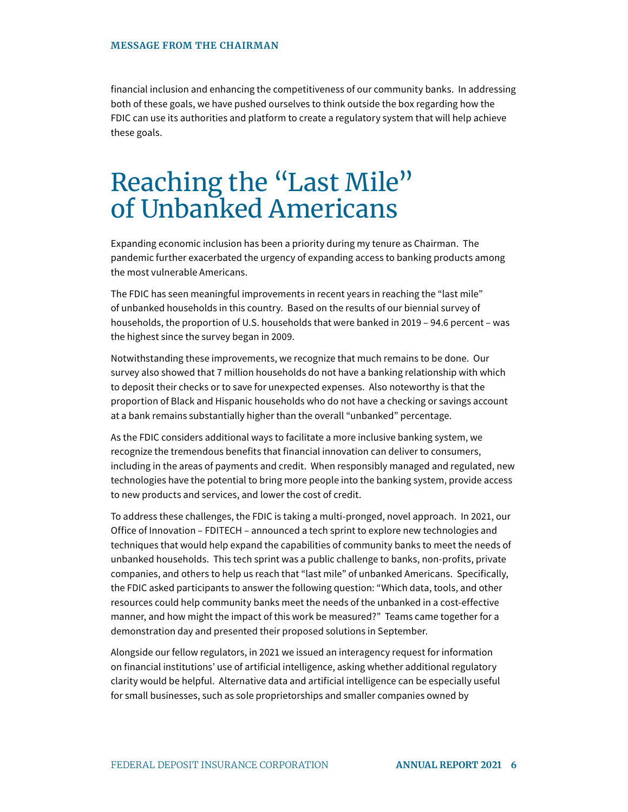financial inclusion and enhancing the competitiveness of our community banks. In addressing both of these goals, we have pushed ourselves to think outside the box regarding how the FDIC can use its authorities and platform to create a regulatory system that will help achieve these goals.

### Reaching the "Last Mile" of Unbanked Americans

Expanding economic inclusion has been a priority during my tenure as Chairman. The pandemic further exacerbated the urgency of expanding access to banking products among the most vulnerable Americans.

The FDIC has seen meaningful improvements in recent years in reaching the "last mile" of unbanked households in this country. Based on the results of our biennial survey of households, the proportion of U.S. households that were banked in 2019 – 94.6 percent – was the highest since the survey began in 2009.

Notwithstanding these improvements, we recognize that much remains to be done. Our survey also showed that 7 million households do not have a banking relationship with which to deposit their checks or to save for unexpected expenses. Also noteworthy is that the proportion of Black and Hispanic households who do not have a checking or savings account at a bank remains substantially higher than the overall "unbanked" percentage.

As the FDIC considers additional ways to facilitate a more inclusive banking system, we recognize the tremendous benefits that financial innovation can deliver to consumers, including in the areas of payments and credit. When responsibly managed and regulated, new technologies have the potential to bring more people into the banking system, provide access to new products and services, and lower the cost of credit.

To address these challenges, the FDIC is taking a multi-pronged, novel approach. In 2021, our Office of Innovation – FDITECH – announced a tech sprint to explore new technologies and techniques that would help expand the capabilities of community banks to meet the needs of unbanked households. This tech sprint was a public challenge to banks, non-profits, private companies, and others to help us reach that "last mile" of unbanked Americans. Specifically, the FDIC asked participants to answer the following question: "Which data, tools, and other resources could help community banks meet the needs of the unbanked in a cost-effective manner, and how might the impact of this work be measured?" Teams came together for a demonstration day and presented their proposed solutions in September.

Alongside our fellow regulators, in 2021 we issued an interagency request for information on financial institutions' use of artificial intelligence, asking whether additional regulatory clarity would be helpful. Alternative data and artificial intelligence can be especially useful for small businesses, such as sole proprietorships and smaller companies owned by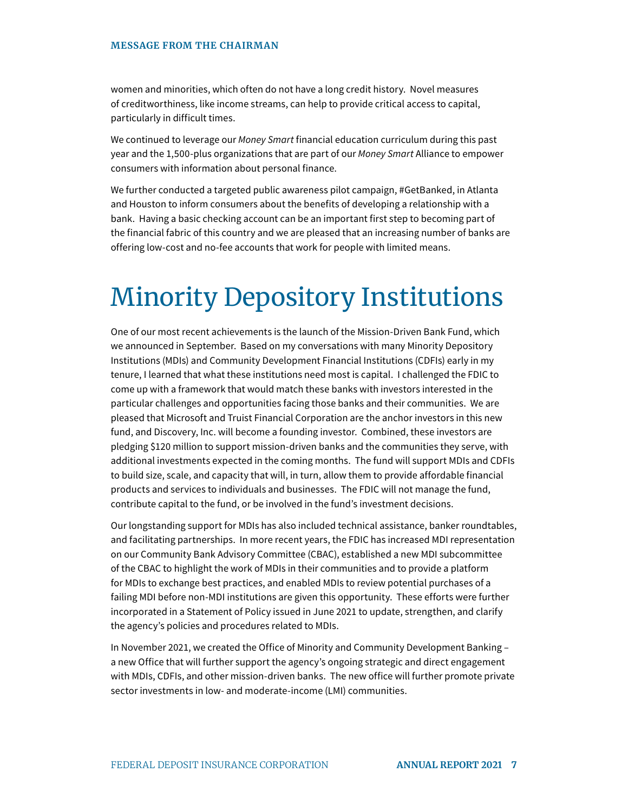#### **MESSAGE FROM THE CHAIRMAN**

women and minorities, which often do not have a long credit history. Novel measures of creditworthiness, like income streams, can help to provide critical access to capital, particularly in difficult times.

We continued to leverage our Money Smart financial education curriculum during this past year and the 1,500-plus organizations that are part of our Money Smart Alliance to empower consumers with information about personal finance.

We further conducted a targeted public awareness pilot campaign, #GetBanked, in Atlanta and Houston to inform consumers about the benefits of developing a relationship with a bank. Having a basic checking account can be an important first step to becoming part of the financial fabric of this country and we are pleased that an increasing number of banks are offering low-cost and no-fee accounts that work for people with limited means.

# Minority Depository Institutions

One of our most recent achievements is the launch of the Mission-Driven Bank Fund, which we announced in September. Based on my conversations with many Minority Depository Institutions (MDIs) and Community Development Financial Institutions (CDFIs) early in my tenure, I learned that what these institutions need most is capital. I challenged the FDIC to come up with a framework that would match these banks with investors interested in the particular challenges and opportunities facing those banks and their communities. We are pleased that Microsoft and Truist Financial Corporation are the anchor investors in this new fund, and Discovery, Inc. will become a founding investor. Combined, these investors are pledging \$120 million to support mission-driven banks and the communities they serve, with additional investments expected in the coming months. The fund will support MDIs and CDFIs to build size, scale, and capacity that will, in turn, allow them to provide affordable financial products and services to individuals and businesses. The FDIC will not manage the fund, contribute capital to the fund, or be involved in the fund's investment decisions.

Our longstanding support for MDIs has also included technical assistance, banker roundtables, and facilitating partnerships. In more recent years, the FDIC has increased MDI representation on our Community Bank Advisory Committee (CBAC), established a new MDI subcommittee of the CBAC to highlight the work of MDIs in their communities and to provide a platform for MDIs to exchange best practices, and enabled MDIs to review potential purchases of a failing MDI before non-MDI institutions are given this opportunity. These efforts were further incorporated in a Statement of Policy issued in June 2021 to update, strengthen, and clarify the agency's policies and procedures related to MDIs.

In November 2021, we created the Office of Minority and Community Development Banking – a new Office that will further support the agency's ongoing strategic and direct engagement with MDIs, CDFIs, and other mission-driven banks. The new office will further promote private sector investments in low- and moderate-income (LMI) communities.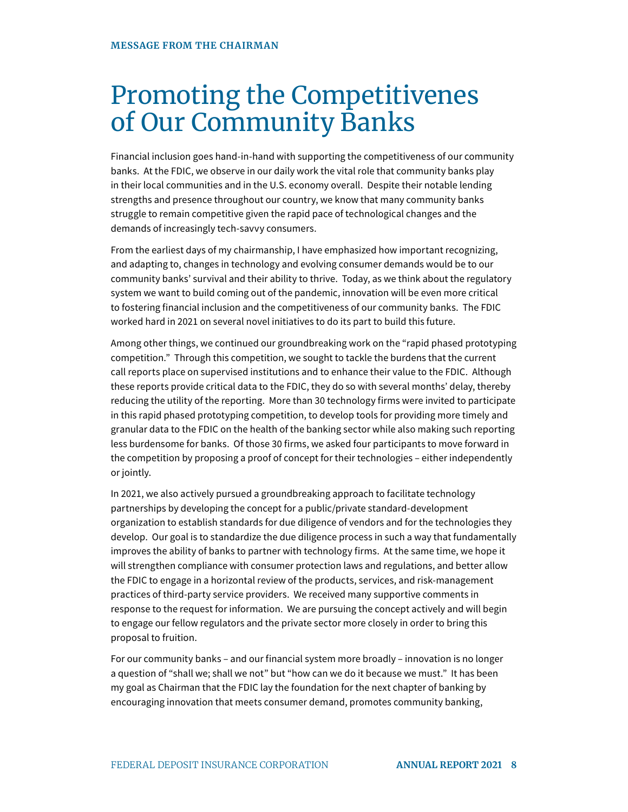# Promoting the Competitivenes of Our Community Banks

Financial inclusion goes hand-in-hand with supporting the competitiveness of our community banks. At the FDIC, we observe in our daily work the vital role that community banks play in their local communities and in the U.S. economy overall. Despite their notable lending strengths and presence throughout our country, we know that many community banks struggle to remain competitive given the rapid pace of technological changes and the demands of increasingly tech-savvy consumers.

From the earliest days of my chairmanship, I have emphasized how important recognizing, and adapting to, changes in technology and evolving consumer demands would be to our community banks' survival and their ability to thrive. Today, as we think about the regulatory system we want to build coming out of the pandemic, innovation will be even more critical to fostering financial inclusion and the competitiveness of our community banks. The FDIC worked hard in 2021 on several novel initiatives to do its part to build this future.

Among other things, we continued our groundbreaking work on the "rapid phased prototyping competition." Through this competition, we sought to tackle the burdens that the current call reports place on supervised institutions and to enhance their value to the FDIC. Although these reports provide critical data to the FDIC, they do so with several months' delay, thereby reducing the utility of the reporting. More than 30 technology firms were invited to participate in this rapid phased prototyping competition, to develop tools for providing more timely and granular data to the FDIC on the health of the banking sector while also making such reporting less burdensome for banks. Of those 30 firms, we asked four participants to move forward in the competition by proposing a proof of concept for their technologies – either independently or jointly.

In 2021, we also actively pursued a groundbreaking approach to facilitate technology partnerships by developing the concept for a public/private standard-development organization to establish standards for due diligence of vendors and for the technologies they develop. Our goal is to standardize the due diligence process in such a way that fundamentally improves the ability of banks to partner with technology firms. At the same time, we hope it will strengthen compliance with consumer protection laws and regulations, and better allow the FDIC to engage in a horizontal review of the products, services, and risk-management practices of third-party service providers. We received many supportive comments in response to the request for information. We are pursuing the concept actively and will begin to engage our fellow regulators and the private sector more closely in order to bring this proposal to fruition.

For our community banks – and our financial system more broadly – innovation is no longer a question of "shall we; shall we not" but "how can we do it because we must." It has been my goal as Chairman that the FDIC lay the foundation for the next chapter of banking by encouraging innovation that meets consumer demand, promotes community banking,